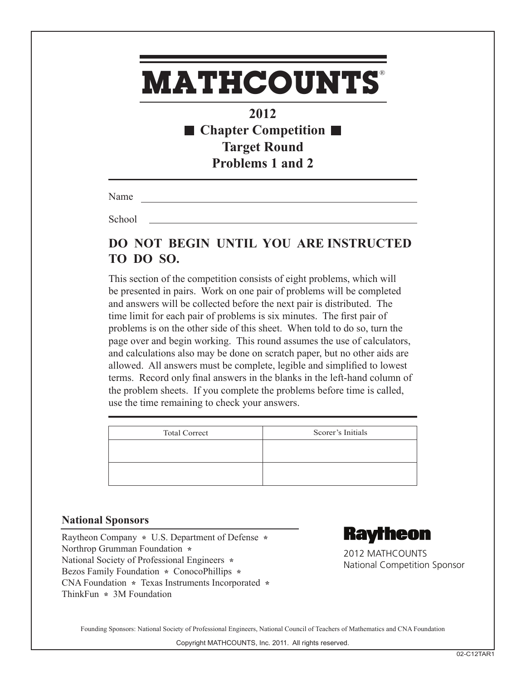### **2012** ■ Chapter Competition ■ **Target Round Problems 1 and 2**

Name

**School** 

### **DO NOT BEGIN UNTIL YOU ARE INSTRUCTED TO DO SO.**

This section of the competition consists of eight problems, which will be presented in pairs. Work on one pair of problems will be completed and answers will be collected before the next pair is distributed. The time limit for each pair of problems is six minutes. The first pair of problems is on the other side of this sheet. When told to do so, turn the page over and begin working. This round assumes the use of calculators, and calculations also may be done on scratch paper, but no other aids are allowed. All answers must be complete, legible and simplified to lowest terms. Record only final answers in the blanks in the left-hand column of the problem sheets. If you complete the problems before time is called, use the time remaining to check your answers.

| <b>Total Correct</b> | Scorer's Initials |
|----------------------|-------------------|
|                      |                   |
|                      |                   |

### **National Sponsors**

Raytheon Company **\*** U.S. Department of Defense **\***  Northrop Grumman Foundation **\***  National Society of Professional Engineers **\***  Bezos Family Foundation **\*** ConocoPhillips **\***  CNA Foundation **\*** Texas Instruments Incorporated **\*** ThinkFun **\*** 3M Foundation



2012 MATHCOUNTS National Competition Sponsor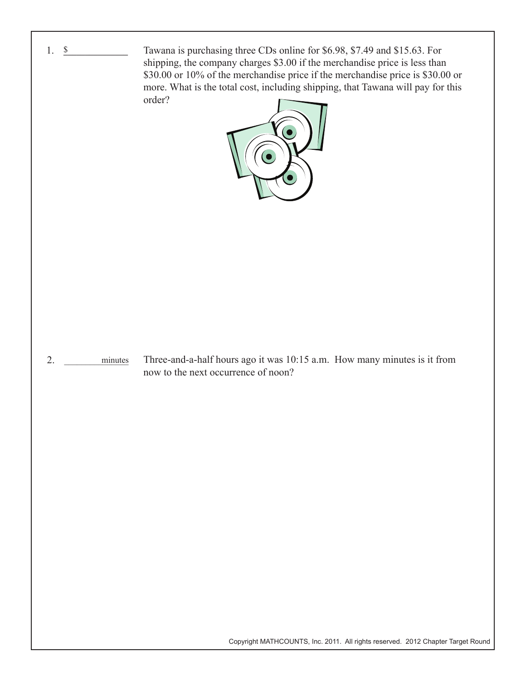

Copyright MATHCOUNTS, Inc. 2011. All rights reserved. 2012 Chapter Target Round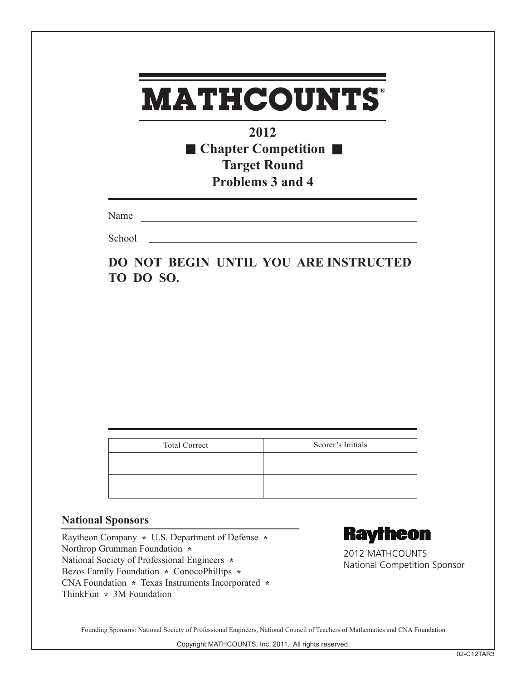**2012** ■ Chapter Competition ■ **Target Round Problems 3 and 4**

Name

**School** 

**DO NOT BEGIN UNTIL YOU ARE INSTRUCTED TO DO SO.**

| <b>Total Correct</b> | Scorer's Initials |
|----------------------|-------------------|
|                      |                   |
|                      |                   |
|                      |                   |

### **National Sponsors**

Raytheon Company **\*** U.S. Department of Defense **\***  Northrop Grumman Foundation **\***  National Society of Professional Engineers **\***  Bezos Family Foundation **\*** ConocoPhillips **\***  CNA Foundation **\*** Texas Instruments Incorporated **\*** ThinkFun **\*** 3M Foundation



2012 MATHCOUNTS National Competition Sponsor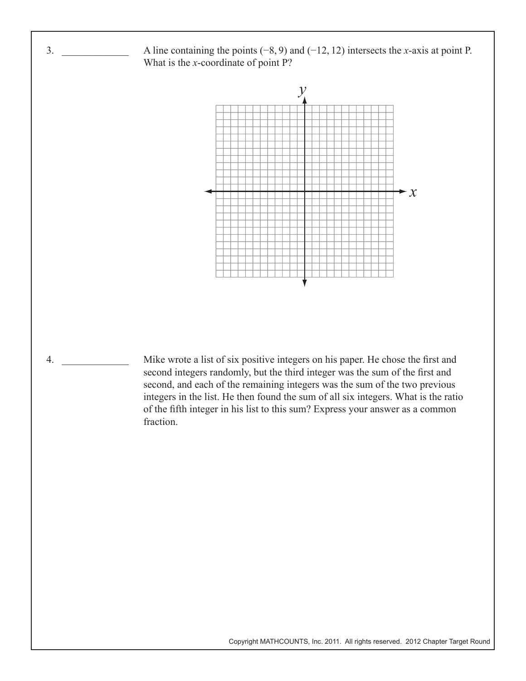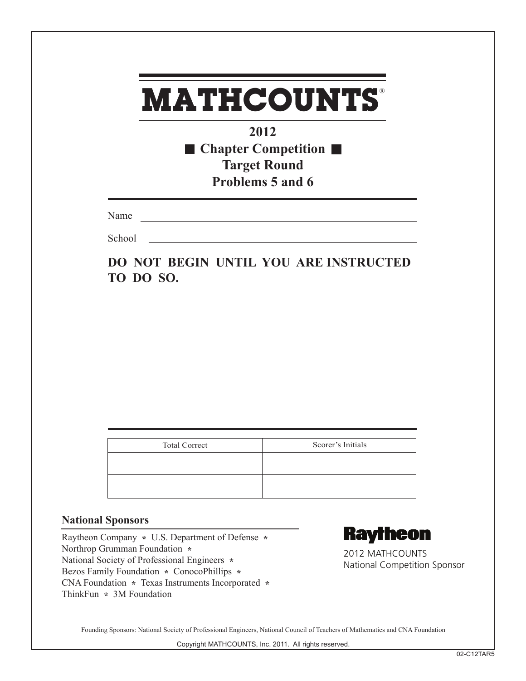**2012** ■ Chapter Competition **Target Round Problems 5 and 6**

Name

**School** 

**DO NOT BEGIN UNTIL YOU ARE INSTRUCTED TO DO SO.**

| <b>Total Correct</b> | Scorer's Initials |
|----------------------|-------------------|
|                      |                   |
|                      |                   |

### **National Sponsors**

Raytheon Company **\*** U.S. Department of Defense **\***  Northrop Grumman Foundation **\***  National Society of Professional Engineers **\***  Bezos Family Foundation **\*** ConocoPhillips **\***  CNA Foundation **\*** Texas Instruments Incorporated **\*** ThinkFun **\*** 3M Foundation



2012 MATHCOUNTS National Competition Sponsor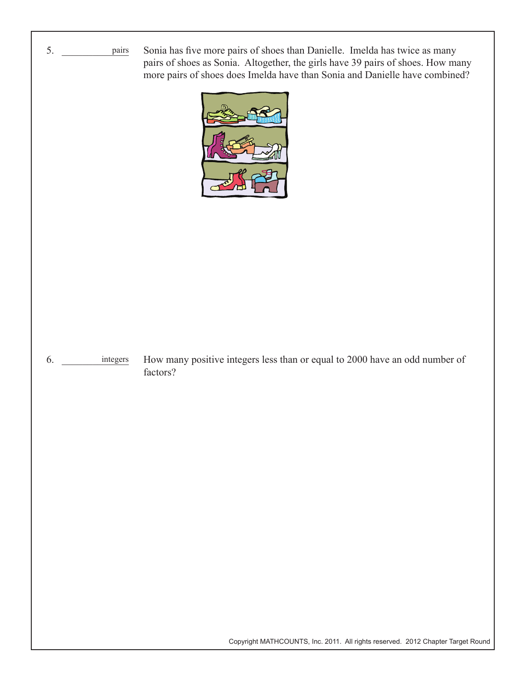

Sonia has five more pairs of shoes than Danielle. Imelda has twice as many pairs of shoes as Sonia. Altogether, the girls have 39 pairs of shoes. How many more pairs of shoes does Imelda have than Sonia and Danielle have combined?



#### 6. \_\_\_\_\_\_\_\_\_\_\_\_\_ integers How many positive integers less than or equal to 2000 have an odd number of factors?

Copyright MATHCOUNTS, Inc. 2011. All rights reserved. 2012 Chapter Target Round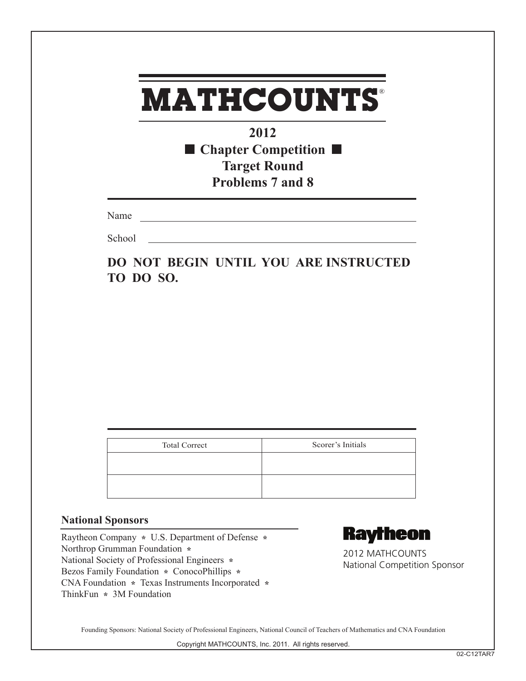**2012** ■ Chapter Competition ■ **Target Round Problems 7 and 8**

Name

**School** 

**DO NOT BEGIN UNTIL YOU ARE INSTRUCTED TO DO SO.**

| <b>Total Correct</b> | Scorer's Initials |
|----------------------|-------------------|
|                      |                   |
|                      |                   |
|                      |                   |

### **National Sponsors**

Raytheon Company **\*** U.S. Department of Defense **\***  Northrop Grumman Foundation **\***  National Society of Professional Engineers **\***  Bezos Family Foundation **\*** ConocoPhillips **\***  CNA Foundation **\*** Texas Instruments Incorporated **\*** ThinkFun **\*** 3M Foundation



2012 MATHCOUNTS National Competition Sponsor